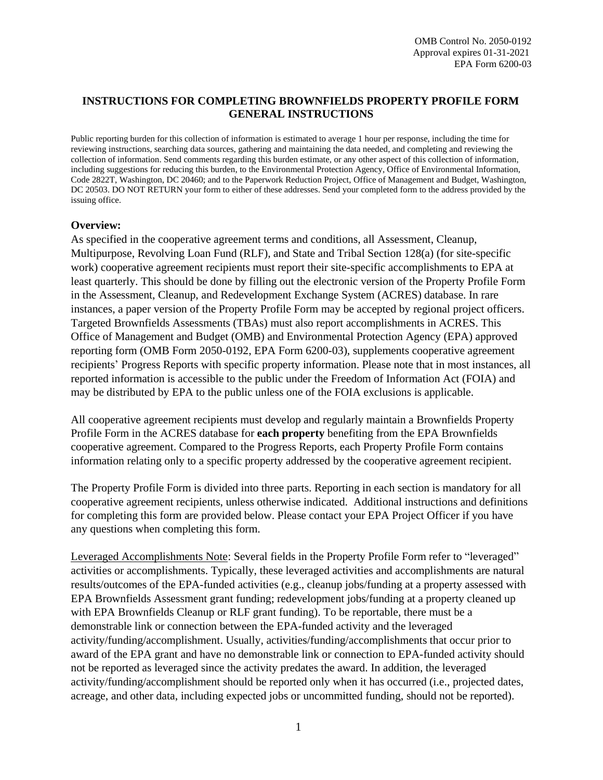### **INSTRUCTIONS FOR COMPLETING BROWNFIELDS PROPERTY PROFILE FORM GENERAL INSTRUCTIONS**

Public reporting burden for this collection of information is estimated to average 1 hour per response, including the time for reviewing instructions, searching data sources, gathering and maintaining the data needed, and completing and reviewing the collection of information. Send comments regarding this burden estimate, or any other aspect of this collection of information, including suggestions for reducing this burden, to the Environmental Protection Agency, Office of Environmental Information, Code 2822T, Washington, DC 20460; and to the Paperwork Reduction Project, Office of Management and Budget, Washington, DC 20503. DO NOT RETURN your form to either of these addresses. Send your completed form to the address provided by the issuing office.

### **Overview:**

As specified in the cooperative agreement terms and conditions, all Assessment, Cleanup, Multipurpose, Revolving Loan Fund (RLF), and State and Tribal Section 128(a) (for site-specific work) cooperative agreement recipients must report their site-specific accomplishments to EPA at least quarterly. This should be done by filling out the electronic version of the Property Profile Form in the Assessment, Cleanup, and Redevelopment Exchange System (ACRES) database. In rare instances, a paper version of the Property Profile Form may be accepted by regional project officers. Targeted Brownfields Assessments (TBAs) must also report accomplishments in ACRES. This Office of Management and Budget (OMB) and Environmental Protection Agency (EPA) approved reporting form (OMB Form 2050-0192, EPA Form 6200-03), supplements cooperative agreement recipients' Progress Reports with specific property information. Please note that in most instances, all reported information is accessible to the public under the Freedom of Information Act (FOIA) and may be distributed by EPA to the public unless one of the FOIA exclusions is applicable.

All cooperative agreement recipients must develop and regularly maintain a Brownfields Property Profile Form in the ACRES database for **each property** benefiting from the EPA Brownfields cooperative agreement. Compared to the Progress Reports, each Property Profile Form contains information relating only to a specific property addressed by the cooperative agreement recipient.

The Property Profile Form is divided into three parts. Reporting in each section is mandatory for all cooperative agreement recipients, unless otherwise indicated. Additional instructions and definitions for completing this form are provided below. Please contact your EPA Project Officer if you have any questions when completing this form.

Leveraged Accomplishments Note: Several fields in the Property Profile Form refer to "leveraged" activities or accomplishments. Typically, these leveraged activities and accomplishments are natural results/outcomes of the EPA-funded activities (e.g., cleanup jobs/funding at a property assessed with EPA Brownfields Assessment grant funding; redevelopment jobs/funding at a property cleaned up with EPA Brownfields Cleanup or RLF grant funding). To be reportable, there must be a demonstrable link or connection between the EPA-funded activity and the leveraged activity/funding/accomplishment. Usually, activities/funding/accomplishments that occur prior to award of the EPA grant and have no demonstrable link or connection to EPA-funded activity should not be reported as leveraged since the activity predates the award. In addition, the leveraged activity/funding/accomplishment should be reported only when it has occurred (i.e., projected dates, acreage, and other data, including expected jobs or uncommitted funding, should not be reported).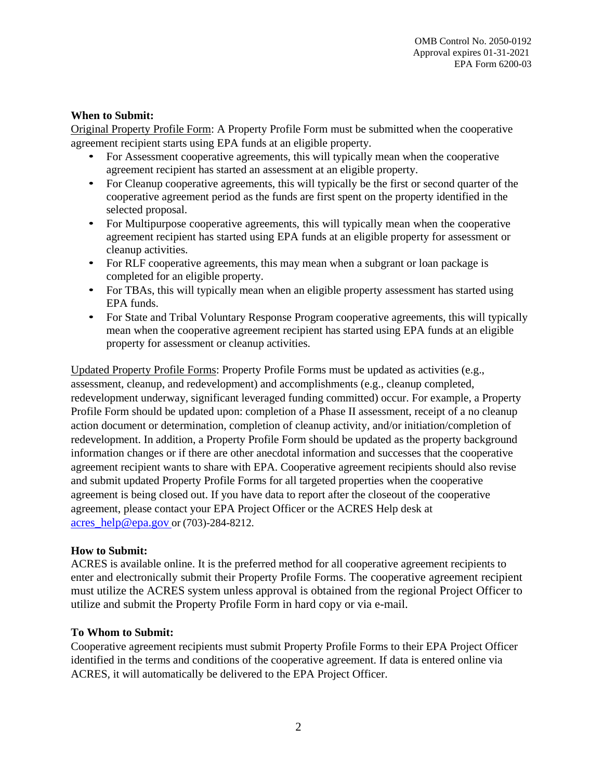#### **When to Submit:**

Original Property Profile Form: A Property Profile Form must be submitted when the cooperative agreement recipient starts using EPA funds at an eligible property.

- For Assessment cooperative agreements, this will typically mean when the cooperative agreement recipient has started an assessment at an eligible property.
- For Cleanup cooperative agreements, this will typically be the first or second quarter of the cooperative agreement period as the funds are first spent on the property identified in the selected proposal.
- For Multipurpose cooperative agreements, this will typically mean when the cooperative agreement recipient has started using EPA funds at an eligible property for assessment or cleanup activities.
- For RLF cooperative agreements, this may mean when a subgrant or loan package is completed for an eligible property.
- For TBAs, this will typically mean when an eligible property assessment has started using EPA funds.
- For State and Tribal Voluntary Response Program cooperative agreements, this will typically mean when the cooperative agreement recipient has started using EPA funds at an eligible property for assessment or cleanup activities.

Updated Property Profile Forms: Property Profile Forms must be updated as activities (e.g., assessment, cleanup, and redevelopment) and accomplishments (e.g., cleanup completed, redevelopment underway, significant leveraged funding committed) occur. For example, a Property Profile Form should be updated upon: completion of a Phase II assessment, receipt of a no cleanup action document or determination, completion of cleanup activity, and/or initiation/completion of redevelopment. In addition, a Property Profile Form should be updated as the property background information changes or if there are other anecdotal information and successes that the cooperative agreement recipient wants to share with EPA. Cooperative agreement recipients should also revise and submit updated Property Profile Forms for all targeted properties when the cooperative agreement is being closed out. If you have data to report after the closeout of the cooperative agreement, please contact your EPA Project Officer or the ACRES Help desk at acres help@epa.gov or (703)-284-8212.

### **How to Submit:**

ACRES is available online. It is the preferred method for all cooperative agreement recipients to enter and electronically submit their Property Profile Forms. The cooperative agreement recipient must utilize the ACRES system unless approval is obtained from the regional Project Officer to utilize and submit the Property Profile Form in hard copy or via e-mail.

### **To Whom to Submit:**

Cooperative agreement recipients must submit Property Profile Forms to their EPA Project Officer identified in the terms and conditions of the cooperative agreement. If data is entered online via ACRES, it will automatically be delivered to the EPA Project Officer.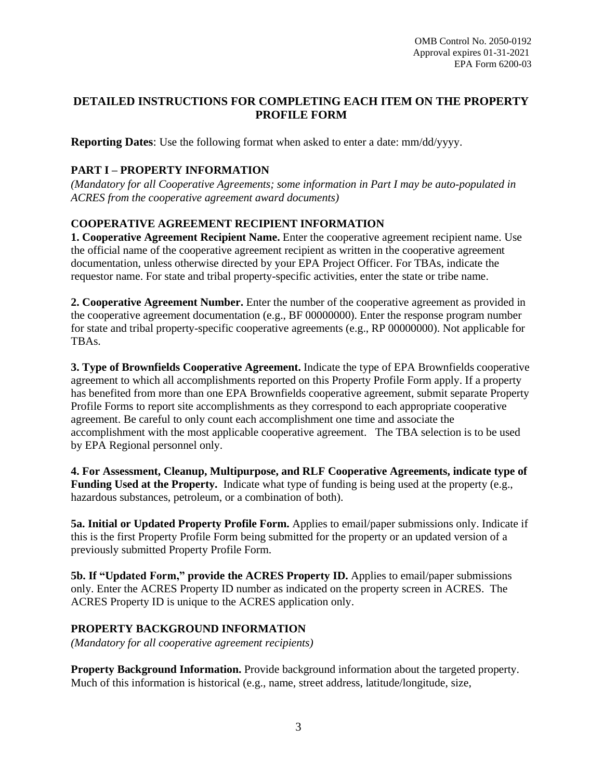# **DETAILED INSTRUCTIONS FOR COMPLETING EACH ITEM ON THE PROPERTY PROFILE FORM**

**Reporting Dates**: Use the following format when asked to enter a date: mm/dd/yyyy.

# **PART I – PROPERTY INFORMATION**

*(Mandatory for all Cooperative Agreements; some information in Part I may be auto-populated in ACRES from the cooperative agreement award documents)*

# **COOPERATIVE AGREEMENT RECIPIENT INFORMATION**

**1. Cooperative Agreement Recipient Name.** Enter the cooperative agreement recipient name. Use the official name of the cooperative agreement recipient as written in the cooperative agreement documentation, unless otherwise directed by your EPA Project Officer. For TBAs, indicate the requestor name. For state and tribal property-specific activities, enter the state or tribe name.

**2. Cooperative Agreement Number.** Enter the number of the cooperative agreement as provided in the cooperative agreement documentation (e.g., BF 00000000). Enter the response program number for state and tribal property-specific cooperative agreements (e.g., RP 00000000). Not applicable for TBAs.

**3. Type of Brownfields Cooperative Agreement.** Indicate the type of EPA Brownfields cooperative agreement to which all accomplishments reported on this Property Profile Form apply. If a property has benefited from more than one EPA Brownfields cooperative agreement, submit separate Property Profile Forms to report site accomplishments as they correspond to each appropriate cooperative agreement. Be careful to only count each accomplishment one time and associate the accomplishment with the most applicable cooperative agreement. The TBA selection is to be used by EPA Regional personnel only.

**4. For Assessment, Cleanup, Multipurpose, and RLF Cooperative Agreements, indicate type of Funding Used at the Property.** Indicate what type of funding is being used at the property (e.g., hazardous substances, petroleum, or a combination of both).

**5a. Initial or Updated Property Profile Form.** Applies to email/paper submissions only. Indicate if this is the first Property Profile Form being submitted for the property or an updated version of a previously submitted Property Profile Form.

**5b. If "Updated Form," provide the ACRES Property ID.** Applies to email/paper submissions only. Enter the ACRES Property ID number as indicated on the property screen in ACRES. The ACRES Property ID is unique to the ACRES application only.

# **PROPERTY BACKGROUND INFORMATION**

*(Mandatory for all cooperative agreement recipients)*

**Property Background Information.** Provide background information about the targeted property. Much of this information is historical (e.g., name, street address, latitude/longitude, size,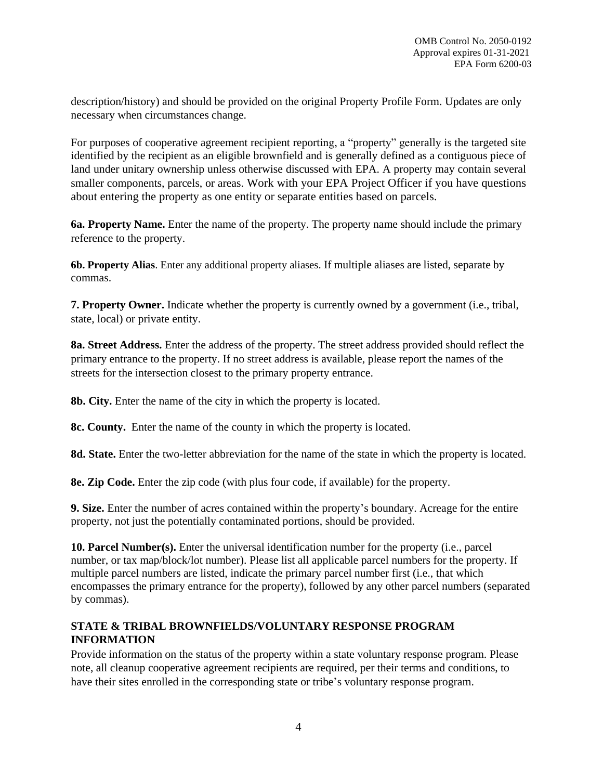description/history) and should be provided on the original Property Profile Form. Updates are only necessary when circumstances change.

For purposes of cooperative agreement recipient reporting, a "property" generally is the targeted site identified by the recipient as an eligible brownfield and is generally defined as a contiguous piece of land under unitary ownership unless otherwise discussed with EPA. A property may contain several smaller components, parcels, or areas. Work with your EPA Project Officer if you have questions about entering the property as one entity or separate entities based on parcels.

**6a. Property Name.** Enter the name of the property. The property name should include the primary reference to the property.

**6b. Property Alias**. Enter any additional property aliases. If multiple aliases are listed, separate by commas.

**7. Property Owner.** Indicate whether the property is currently owned by a government (i.e., tribal, state, local) or private entity.

**8a. Street Address.** Enter the address of the property. The street address provided should reflect the primary entrance to the property. If no street address is available, please report the names of the streets for the intersection closest to the primary property entrance.

**8b. City.** Enter the name of the city in which the property is located.

**8c. County.** Enter the name of the county in which the property is located.

8d. State. Enter the two-letter abbreviation for the name of the state in which the property is located.

**8e. Zip Code.** Enter the zip code (with plus four code, if available) for the property.

**9. Size.** Enter the number of acres contained within the property's boundary. Acreage for the entire property, not just the potentially contaminated portions, should be provided.

**10. Parcel Number(s).** Enter the universal identification number for the property (i.e., parcel number, or tax map/block/lot number). Please list all applicable parcel numbers for the property. If multiple parcel numbers are listed, indicate the primary parcel number first (i.e., that which encompasses the primary entrance for the property), followed by any other parcel numbers (separated by commas).

### **STATE & TRIBAL BROWNFIELDS/VOLUNTARY RESPONSE PROGRAM INFORMATION**

Provide information on the status of the property within a state voluntary response program. Please note, all cleanup cooperative agreement recipients are required, per their terms and conditions, to have their sites enrolled in the corresponding state or tribe's voluntary response program.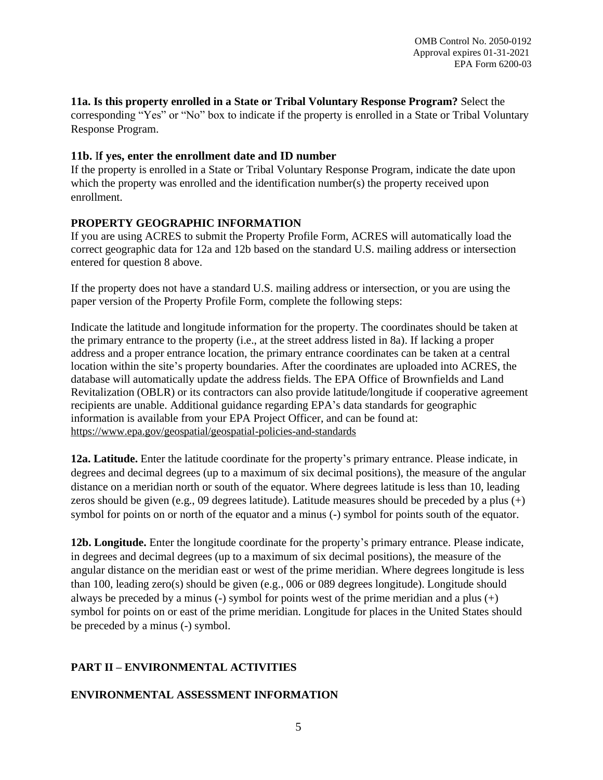#### **11a. Is this property enrolled in a State or Tribal Voluntary Response Program?** Select the

corresponding "Yes" or "No" box to indicate if the property is enrolled in a State or Tribal Voluntary Response Program.

#### **11b.** I**f yes, enter the enrollment date and ID number**

If the property is enrolled in a State or Tribal Voluntary Response Program, indicate the date upon which the property was enrolled and the identification number(s) the property received upon enrollment.

### **PROPERTY GEOGRAPHIC INFORMATION**

If you are using ACRES to submit the Property Profile Form, ACRES will automatically load the correct geographic data for 12a and 12b based on the standard U.S. mailing address or intersection entered for question 8 above.

If the property does not have a standard U.S. mailing address or intersection, or you are using the paper version of the Property Profile Form, complete the following steps:

Indicate the latitude and longitude information for the property. The coordinates should be taken at the primary entrance to the property (i.e., at the street address listed in 8a). If lacking a proper address and a proper entrance location, the primary entrance coordinates can be taken at a central location within the site's property boundaries. After the coordinates are uploaded into ACRES, the database will automatically update the address fields. The EPA Office of Brownfields and Land Revitalization (OBLR) or its contractors can also provide latitude/longitude if cooperative agreement recipients are unable. Additional guidance regarding EPA's data standards for geographic information is available from your EPA Project Officer, and can be found at: <https://www.epa.gov/geospatial/geospatial-policies-and-standards>

**12a. Latitude.** Enter the latitude coordinate for the property's primary entrance. Please indicate, in degrees and decimal degrees (up to a maximum of six decimal positions), the measure of the angular distance on a meridian north or south of the equator. Where degrees latitude is less than 10, leading zeros should be given (e.g., 09 degrees latitude). Latitude measures should be preceded by a plus (+) symbol for points on or north of the equator and a minus (-) symbol for points south of the equator.

**12b. Longitude.** Enter the longitude coordinate for the property's primary entrance. Please indicate, in degrees and decimal degrees (up to a maximum of six decimal positions), the measure of the angular distance on the meridian east or west of the prime meridian. Where degrees longitude is less than 100, leading zero(s) should be given (e.g., 006 or 089 degrees longitude). Longitude should always be preceded by a minus  $\left(\frac{1}{2}\right)$  symbol for points west of the prime meridian and a plus  $\left(\frac{1}{2}\right)$ symbol for points on or east of the prime meridian. Longitude for places in the United States should be preceded by a minus (-) symbol.

# **PART II – ENVIRONMENTAL ACTIVITIES**

### **ENVIRONMENTAL ASSESSMENT INFORMATION**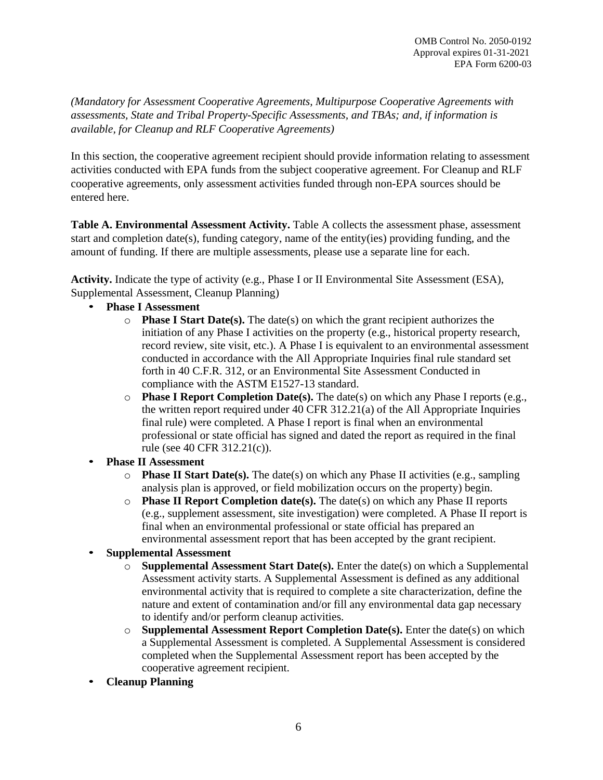*(Mandatory for Assessment Cooperative Agreements, Multipurpose Cooperative Agreements with assessments, State and Tribal Property-Specific Assessments, and TBAs; and, if information is available, for Cleanup and RLF Cooperative Agreements)*

In this section, the cooperative agreement recipient should provide information relating to assessment activities conducted with EPA funds from the subject cooperative agreement. For Cleanup and RLF cooperative agreements, only assessment activities funded through non-EPA sources should be entered here.

**Table A. Environmental Assessment Activity.** Table A collects the assessment phase, assessment start and completion date(s), funding category, name of the entity(ies) providing funding, and the amount of funding. If there are multiple assessments, please use a separate line for each.

**Activity.** Indicate the type of activity (e.g., Phase I or II Environmental Site Assessment (ESA), Supplemental Assessment, Cleanup Planning)

- **Phase I Assessment**
	- o **Phase I Start Date(s).** The date(s) on which the grant recipient authorizes the initiation of any Phase I activities on the property (e.g., historical property research, record review, site visit, etc.). A Phase I is equivalent to an environmental assessment conducted in accordance with the All Appropriate Inquiries final rule standard set forth in 40 C.F.R. 312, or an Environmental Site Assessment Conducted in compliance with the ASTM E1527-13 standard.
	- o **Phase I Report Completion Date(s).** The date(s) on which any Phase I reports (e.g., the written report required under 40 CFR 312.21(a) of the All Appropriate Inquiries final rule) were completed. A Phase I report is final when an environmental professional or state official has signed and dated the report as required in the final rule (see 40 CFR 312.21(c)).
- **Phase II Assessment**
	- o **Phase II Start Date(s).** The date(s) on which any Phase II activities (e.g., sampling analysis plan is approved, or field mobilization occurs on the property) begin.
	- o **Phase II Report Completion date(s).** The date(s) on which any Phase II reports (e.g., supplement assessment, site investigation) were completed. A Phase II report is final when an environmental professional or state official has prepared an environmental assessment report that has been accepted by the grant recipient.
- **Supplemental Assessment**
	- o **Supplemental Assessment Start Date(s).** Enter the date(s) on which a Supplemental Assessment activity starts. A Supplemental Assessment is defined as any additional environmental activity that is required to complete a site characterization, define the nature and extent of contamination and/or fill any environmental data gap necessary to identify and/or perform cleanup activities.
	- o **Supplemental Assessment Report Completion Date(s).** Enter the date(s) on which a Supplemental Assessment is completed. A Supplemental Assessment is considered completed when the Supplemental Assessment report has been accepted by the cooperative agreement recipient.
- **Cleanup Planning**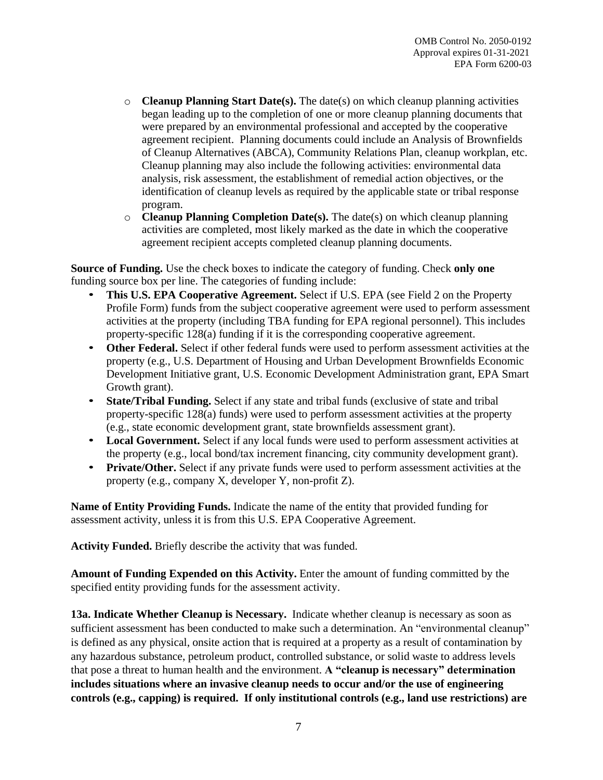- o **Cleanup Planning Start Date(s).** The date(s) on which cleanup planning activities began leading up to the completion of one or more cleanup planning documents that were prepared by an environmental professional and accepted by the cooperative agreement recipient. Planning documents could include an Analysis of Brownfields of Cleanup Alternatives (ABCA), Community Relations Plan, cleanup workplan, etc. Cleanup planning may also include the following activities: environmental data analysis, risk assessment, the establishment of remedial action objectives, or the identification of cleanup levels as required by the applicable state or tribal response program.
- o **Cleanup Planning Completion Date(s).** The date(s) on which cleanup planning activities are completed, most likely marked as the date in which the cooperative agreement recipient accepts completed cleanup planning documents.

**Source of Funding.** Use the check boxes to indicate the category of funding. Check **only one** funding source box per line. The categories of funding include:

- **This U.S. EPA Cooperative Agreement.** Select if U.S. EPA (see Field 2 on the Property Profile Form) funds from the subject cooperative agreement were used to perform assessment activities at the property (including TBA funding for EPA regional personnel). This includes property-specific 128(a) funding if it is the corresponding cooperative agreement.
- **Other Federal.** Select if other federal funds were used to perform assessment activities at the property (e.g., U.S. Department of Housing and Urban Development Brownfields Economic Development Initiative grant, U.S. Economic Development Administration grant, EPA Smart Growth grant).
- **State/Tribal Funding.** Select if any state and tribal funds (exclusive of state and tribal property-specific 128(a) funds) were used to perform assessment activities at the property (e.g., state economic development grant, state brownfields assessment grant).
- **Local Government.** Select if any local funds were used to perform assessment activities at the property (e.g., local bond/tax increment financing, city community development grant).
- **Private/Other.** Select if any private funds were used to perform assessment activities at the property (e.g., company X, developer Y, non-profit Z).

**Name of Entity Providing Funds.** Indicate the name of the entity that provided funding for assessment activity, unless it is from this U.S. EPA Cooperative Agreement.

**Activity Funded.** Briefly describe the activity that was funded.

**Amount of Funding Expended on this Activity.** Enter the amount of funding committed by the specified entity providing funds for the assessment activity.

**13a. Indicate Whether Cleanup is Necessary.** Indicate whether cleanup is necessary as soon as sufficient assessment has been conducted to make such a determination. An "environmental cleanup" is defined as any physical, onsite action that is required at a property as a result of contamination by any hazardous substance, petroleum product, controlled substance, or solid waste to address levels that pose a threat to human health and the environment. **A "cleanup is necessary" determination includes situations where an invasive cleanup needs to occur and/or the use of engineering controls (e.g., capping) is required. If only institutional controls (e.g., land use restrictions) are**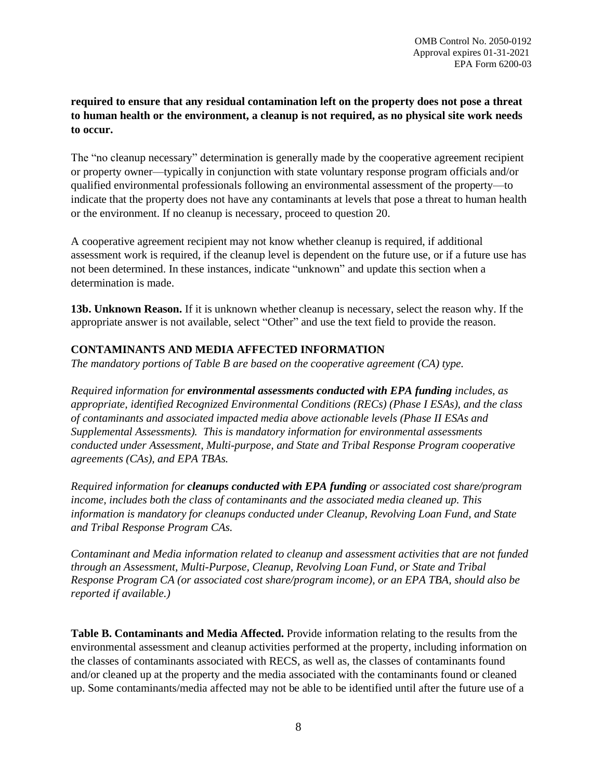### **required to ensure that any residual contamination left on the property does not pose a threat to human health or the environment, a cleanup is not required, as no physical site work needs to occur.**

The "no cleanup necessary" determination is generally made by the cooperative agreement recipient or property owner—typically in conjunction with state voluntary response program officials and/or qualified environmental professionals following an environmental assessment of the property—to indicate that the property does not have any contaminants at levels that pose a threat to human health or the environment. If no cleanup is necessary, proceed to question 20.

A cooperative agreement recipient may not know whether cleanup is required, if additional assessment work is required, if the cleanup level is dependent on the future use, or if a future use has not been determined. In these instances, indicate "unknown" and update this section when a determination is made.

**13b. Unknown Reason.** If it is unknown whether cleanup is necessary, select the reason why. If the appropriate answer is not available, select "Other" and use the text field to provide the reason.

# **CONTAMINANTS AND MEDIA AFFECTED INFORMATION**

*The mandatory portions of Table B are based on the cooperative agreement (CA) type.*

*Required information for environmental assessments conducted with EPA funding includes, as appropriate, identified Recognized Environmental Conditions (RECs) (Phase I ESAs), and the class of contaminants and associated impacted media above actionable levels (Phase II ESAs and Supplemental Assessments). This is mandatory information for environmental assessments conducted under Assessment, Multi-purpose, and State and Tribal Response Program cooperative agreements (CAs), and EPA TBAs.*

*Required information for cleanups conducted with EPA funding or associated cost share/program income, includes both the class of contaminants and the associated media cleaned up. This information is mandatory for cleanups conducted under Cleanup, Revolving Loan Fund, and State and Tribal Response Program CAs.*

*Contaminant and Media information related to cleanup and assessment activities that are not funded through an Assessment, Multi-Purpose, Cleanup, Revolving Loan Fund, or State and Tribal Response Program CA (or associated cost share/program income), or an EPA TBA, should also be reported if available.)*

**Table B. Contaminants and Media Affected.** Provide information relating to the results from the environmental assessment and cleanup activities performed at the property, including information on the classes of contaminants associated with RECS, as well as, the classes of contaminants found and/or cleaned up at the property and the media associated with the contaminants found or cleaned up. Some contaminants/media affected may not be able to be identified until after the future use of a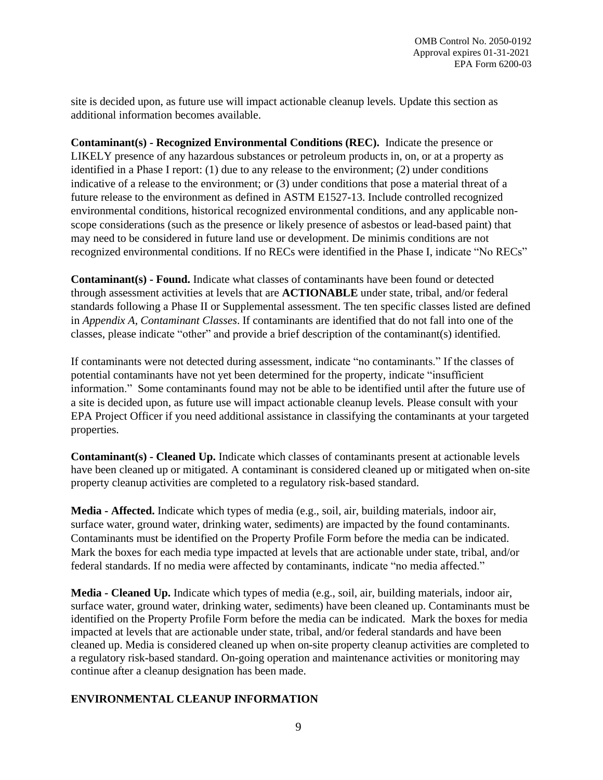site is decided upon, as future use will impact actionable cleanup levels. Update this section as additional information becomes available.

**Contaminant(s) - Recognized Environmental Conditions (REC).** Indicate the presence or LIKELY presence of any hazardous substances or petroleum products in, on, or at a property as identified in a Phase I report: (1) due to any release to the environment; (2) under conditions indicative of a release to the environment; or (3) under conditions that pose a material threat of a future release to the environment as defined in ASTM E1527-13. Include controlled recognized environmental conditions, historical recognized environmental conditions, and any applicable nonscope considerations (such as the presence or likely presence of asbestos or lead-based paint) that may need to be considered in future land use or development. De minimis conditions are not recognized environmental conditions. If no RECs were identified in the Phase I, indicate "No RECs"

**Contaminant(s) - Found.** Indicate what classes of contaminants have been found or detected through assessment activities at levels that are **ACTIONABLE** under state, tribal, and/or federal standards following a Phase II or Supplemental assessment. The ten specific classes listed are defined in *Appendix A, Contaminant Classes*. If contaminants are identified that do not fall into one of the classes, please indicate "other" and provide a brief description of the contaminant(s) identified.

If contaminants were not detected during assessment, indicate "no contaminants." If the classes of potential contaminants have not yet been determined for the property, indicate "insufficient information." Some contaminants found may not be able to be identified until after the future use of a site is decided upon, as future use will impact actionable cleanup levels. Please consult with your EPA Project Officer if you need additional assistance in classifying the contaminants at your targeted properties.

**Contaminant(s) - Cleaned Up.** Indicate which classes of contaminants present at actionable levels have been cleaned up or mitigated. A contaminant is considered cleaned up or mitigated when on-site property cleanup activities are completed to a regulatory risk-based standard.

**Media - Affected.** Indicate which types of media (e.g., soil, air, building materials, indoor air, surface water, ground water, drinking water, sediments) are impacted by the found contaminants. Contaminants must be identified on the Property Profile Form before the media can be indicated. Mark the boxes for each media type impacted at levels that are actionable under state, tribal, and/or federal standards. If no media were affected by contaminants, indicate "no media affected."

**Media - Cleaned Up.** Indicate which types of media (e.g., soil, air, building materials, indoor air, surface water, ground water, drinking water, sediments) have been cleaned up. Contaminants must be identified on the Property Profile Form before the media can be indicated. Mark the boxes for media impacted at levels that are actionable under state, tribal, and/or federal standards and have been cleaned up. Media is considered cleaned up when on-site property cleanup activities are completed to a regulatory risk-based standard. On-going operation and maintenance activities or monitoring may continue after a cleanup designation has been made.

# **ENVIRONMENTAL CLEANUP INFORMATION**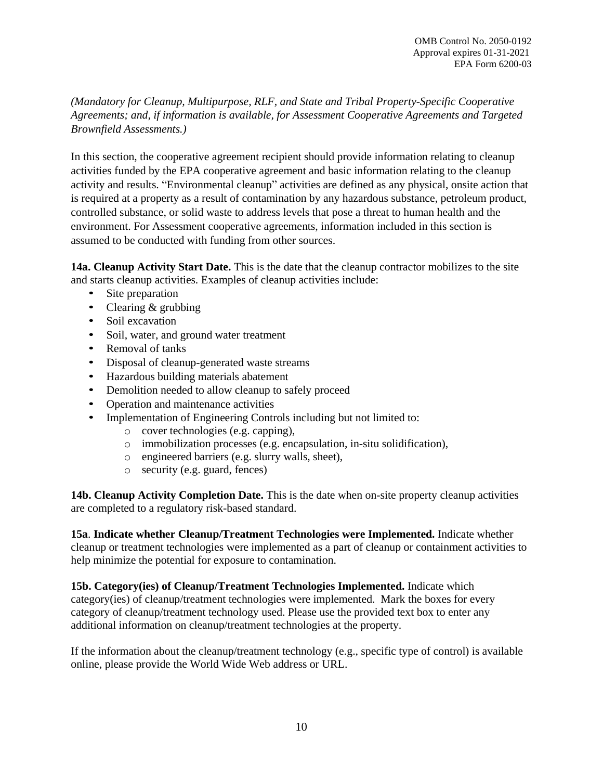*(Mandatory for Cleanup, Multipurpose, RLF, and State and Tribal Property-Specific Cooperative Agreements; and, if information is available, for Assessment Cooperative Agreements and Targeted Brownfield Assessments.)*

In this section, the cooperative agreement recipient should provide information relating to cleanup activities funded by the EPA cooperative agreement and basic information relating to the cleanup activity and results. "Environmental cleanup" activities are defined as any physical, onsite action that is required at a property as a result of contamination by any hazardous substance, petroleum product, controlled substance, or solid waste to address levels that pose a threat to human health and the environment. For Assessment cooperative agreements, information included in this section is assumed to be conducted with funding from other sources.

**14a. Cleanup Activity Start Date.** This is the date that the cleanup contractor mobilizes to the site and starts cleanup activities. Examples of cleanup activities include:

- Site preparation
- Clearing & grubbing
- Soil excavation
- Soil, water, and ground water treatment
- Removal of tanks
- Disposal of cleanup-generated waste streams
- Hazardous building materials abatement
- Demolition needed to allow cleanup to safely proceed
- Operation and maintenance activities
- Implementation of Engineering Controls including but not limited to:
	- o cover technologies (e.g. capping),
	- o immobilization processes (e.g. encapsulation, in-situ solidification),
	- o engineered barriers (e.g. slurry walls, sheet),
	- o security (e.g. guard, fences)

**14b. Cleanup Activity Completion Date.** This is the date when on-site property cleanup activities are completed to a regulatory risk-based standard.

**15a**. **Indicate whether Cleanup/Treatment Technologies were Implemented.** Indicate whether cleanup or treatment technologies were implemented as a part of cleanup or containment activities to help minimize the potential for exposure to contamination.

**15b. Category(ies) of Cleanup/Treatment Technologies Implemented.** Indicate which category(ies) of cleanup/treatment technologies were implemented. Mark the boxes for every category of cleanup/treatment technology used. Please use the provided text box to enter any additional information on cleanup/treatment technologies at the property.

If the information about the cleanup/treatment technology (e.g., specific type of control) is available online, please provide the World Wide Web address or URL.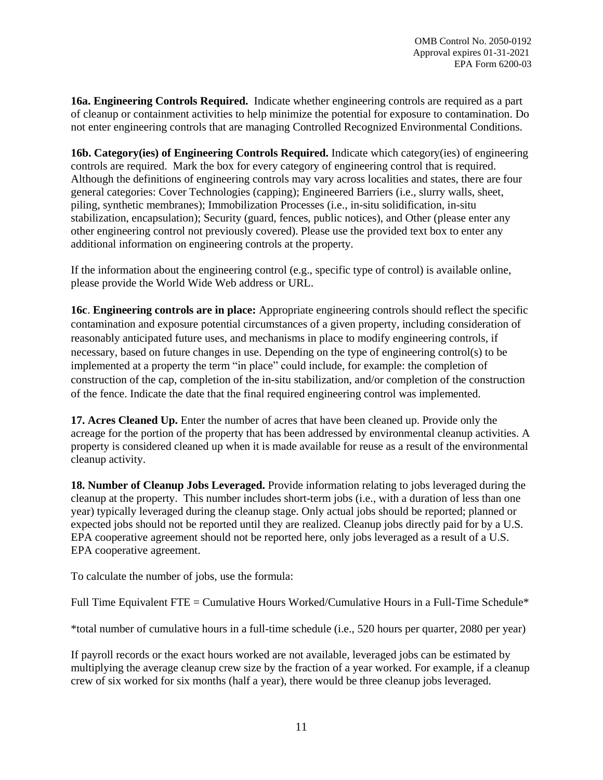**16a. Engineering Controls Required.** Indicate whether engineering controls are required as a part of cleanup or containment activities to help minimize the potential for exposure to contamination. Do not enter engineering controls that are managing Controlled Recognized Environmental Conditions.

**16b. Category(ies) of Engineering Controls Required.** Indicate which category(ies) of engineering controls are required. Mark the box for every category of engineering control that is required. Although the definitions of engineering controls may vary across localities and states, there are four general categories: Cover Technologies (capping); Engineered Barriers (i.e., slurry walls, sheet, piling, synthetic membranes); Immobilization Processes (i.e., in-situ solidification, in-situ stabilization, encapsulation); Security (guard, fences, public notices), and Other (please enter any other engineering control not previously covered). Please use the provided text box to enter any additional information on engineering controls at the property.

If the information about the engineering control (e.g., specific type of control) is available online, please provide the World Wide Web address or URL.

**16c**. **Engineering controls are in place:** Appropriate engineering controls should reflect the specific contamination and exposure potential circumstances of a given property, including consideration of reasonably anticipated future uses, and mechanisms in place to modify engineering controls, if necessary, based on future changes in use. Depending on the type of engineering control(s) to be implemented at a property the term "in place" could include, for example: the completion of construction of the cap, completion of the in-situ stabilization, and/or completion of the construction of the fence. Indicate the date that the final required engineering control was implemented.

**17. Acres Cleaned Up.** Enter the number of acres that have been cleaned up. Provide only the acreage for the portion of the property that has been addressed by environmental cleanup activities. A property is considered cleaned up when it is made available for reuse as a result of the environmental cleanup activity.

**18. Number of Cleanup Jobs Leveraged.** Provide information relating to jobs leveraged during the cleanup at the property. This number includes short-term jobs (i.e., with a duration of less than one year) typically leveraged during the cleanup stage. Only actual jobs should be reported; planned or expected jobs should not be reported until they are realized. Cleanup jobs directly paid for by a U.S. EPA cooperative agreement should not be reported here, only jobs leveraged as a result of a U.S. EPA cooperative agreement.

To calculate the number of jobs, use the formula:

Full Time Equivalent FTE = Cumulative Hours Worked/Cumulative Hours in a Full-Time Schedule\*

\*total number of cumulative hours in a full-time schedule (i.e., 520 hours per quarter, 2080 per year)

If payroll records or the exact hours worked are not available, leveraged jobs can be estimated by multiplying the average cleanup crew size by the fraction of a year worked. For example, if a cleanup crew of six worked for six months (half a year), there would be three cleanup jobs leveraged.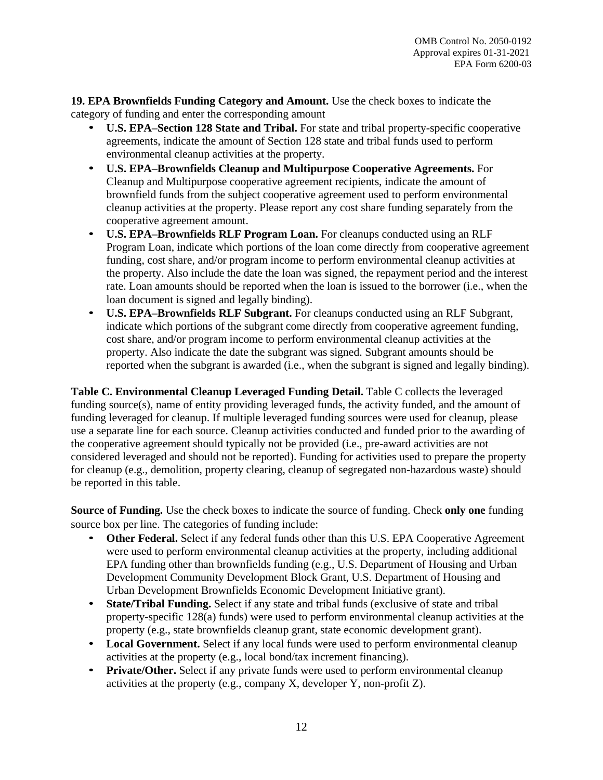**19. EPA Brownfields Funding Category and Amount.** Use the check boxes to indicate the category of funding and enter the corresponding amount

- **U.S. EPA–Section 128 State and Tribal.** For state and tribal property-specific cooperative agreements, indicate the amount of Section 128 state and tribal funds used to perform environmental cleanup activities at the property.
- **U.S. EPA–Brownfields Cleanup and Multipurpose Cooperative Agreements.** For Cleanup and Multipurpose cooperative agreement recipients, indicate the amount of brownfield funds from the subject cooperative agreement used to perform environmental cleanup activities at the property. Please report any cost share funding separately from the cooperative agreement amount.
- **U.S. EPA–Brownfields RLF Program Loan.** For cleanups conducted using an RLF Program Loan, indicate which portions of the loan come directly from cooperative agreement funding, cost share, and/or program income to perform environmental cleanup activities at the property. Also include the date the loan was signed, the repayment period and the interest rate. Loan amounts should be reported when the loan is issued to the borrower (i.e., when the loan document is signed and legally binding).
- **U.S. EPA–Brownfields RLF Subgrant.** For cleanups conducted using an RLF Subgrant, indicate which portions of the subgrant come directly from cooperative agreement funding, cost share, and/or program income to perform environmental cleanup activities at the property. Also indicate the date the subgrant was signed. Subgrant amounts should be reported when the subgrant is awarded (i.e., when the subgrant is signed and legally binding).

**Table C. Environmental Cleanup Leveraged Funding Detail.** Table C collects the leveraged funding source(s), name of entity providing leveraged funds, the activity funded, and the amount of funding leveraged for cleanup. If multiple leveraged funding sources were used for cleanup, please use a separate line for each source. Cleanup activities conducted and funded prior to the awarding of the cooperative agreement should typically not be provided (i.e., pre-award activities are not considered leveraged and should not be reported). Funding for activities used to prepare the property for cleanup (e.g., demolition, property clearing, cleanup of segregated non-hazardous waste) should be reported in this table.

**Source of Funding.** Use the check boxes to indicate the source of funding. Check **only one** funding source box per line. The categories of funding include:

- **Other Federal.** Select if any federal funds other than this U.S. EPA Cooperative Agreement were used to perform environmental cleanup activities at the property, including additional EPA funding other than brownfields funding (e.g., U.S. Department of Housing and Urban Development Community Development Block Grant, U.S. Department of Housing and Urban Development Brownfields Economic Development Initiative grant).
- **State/Tribal Funding.** Select if any state and tribal funds (exclusive of state and tribal property-specific 128(a) funds) were used to perform environmental cleanup activities at the property (e.g., state brownfields cleanup grant, state economic development grant).
- **Local Government.** Select if any local funds were used to perform environmental cleanup activities at the property (e.g., local bond/tax increment financing).
- **Private/Other.** Select if any private funds were used to perform environmental cleanup activities at the property (e.g., company X, developer Y, non-profit Z).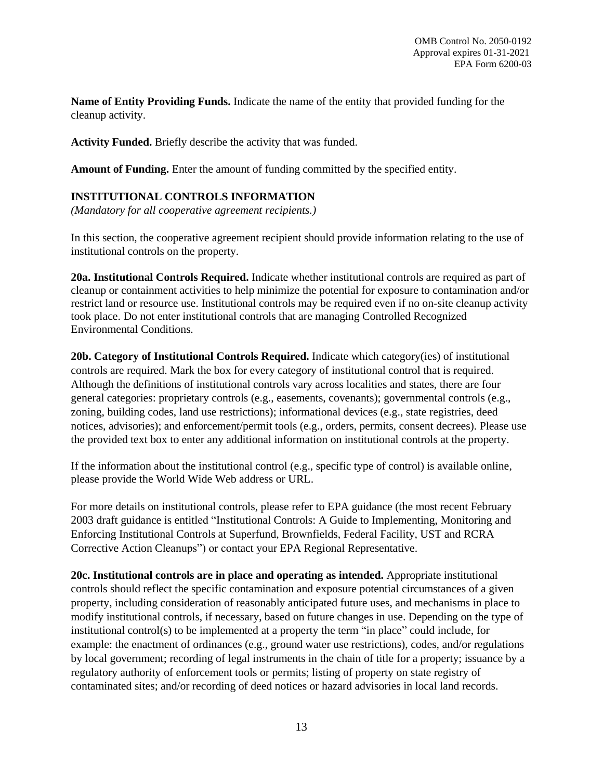**Name of Entity Providing Funds.** Indicate the name of the entity that provided funding for the cleanup activity.

**Activity Funded.** Briefly describe the activity that was funded.

**Amount of Funding.** Enter the amount of funding committed by the specified entity.

### **INSTITUTIONAL CONTROLS INFORMATION**

*(Mandatory for all cooperative agreement recipients.)*

In this section, the cooperative agreement recipient should provide information relating to the use of institutional controls on the property.

**20a. Institutional Controls Required.** Indicate whether institutional controls are required as part of cleanup or containment activities to help minimize the potential for exposure to contamination and/or restrict land or resource use. Institutional controls may be required even if no on-site cleanup activity took place. Do not enter institutional controls that are managing Controlled Recognized Environmental Conditions.

**20b. Category of Institutional Controls Required.** Indicate which category(ies) of institutional controls are required. Mark the box for every category of institutional control that is required. Although the definitions of institutional controls vary across localities and states, there are four general categories: proprietary controls (e.g., easements, covenants); governmental controls (e.g., zoning, building codes, land use restrictions); informational devices (e.g., state registries, deed notices, advisories); and enforcement/permit tools (e.g., orders, permits, consent decrees). Please use the provided text box to enter any additional information on institutional controls at the property.

If the information about the institutional control (e.g., specific type of control) is available online, please provide the World Wide Web address or URL.

For more details on institutional controls, please refer to EPA guidance (the most recent February 2003 draft guidance is entitled "Institutional Controls: A Guide to Implementing, Monitoring and Enforcing Institutional Controls at Superfund, Brownfields, Federal Facility, UST and RCRA Corrective Action Cleanups") or contact your EPA Regional Representative.

**20c. Institutional controls are in place and operating as intended.** Appropriate institutional controls should reflect the specific contamination and exposure potential circumstances of a given property, including consideration of reasonably anticipated future uses, and mechanisms in place to modify institutional controls, if necessary, based on future changes in use. Depending on the type of institutional control(s) to be implemented at a property the term "in place" could include, for example: the enactment of ordinances (e.g., ground water use restrictions), codes, and/or regulations by local government; recording of legal instruments in the chain of title for a property; issuance by a regulatory authority of enforcement tools or permits; listing of property on state registry of contaminated sites; and/or recording of deed notices or hazard advisories in local land records.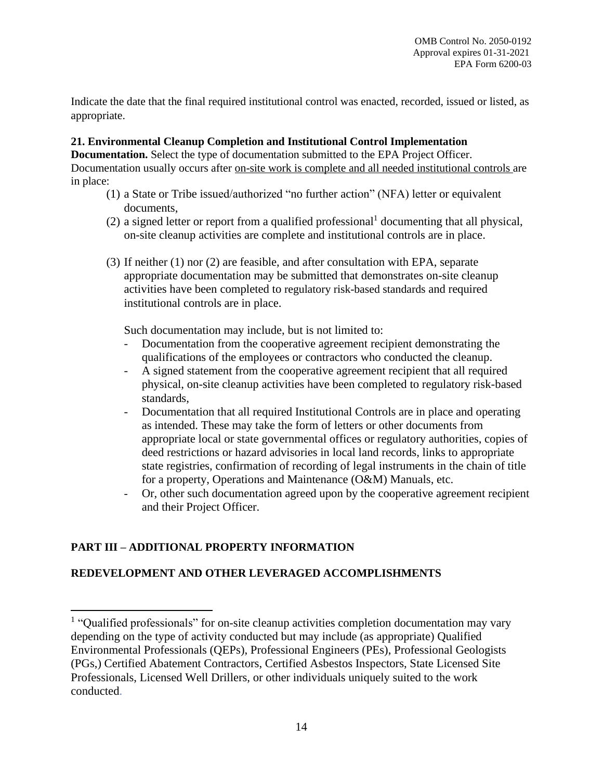Indicate the date that the final required institutional control was enacted, recorded, issued or listed, as appropriate.

### **21. Environmental Cleanup Completion and Institutional Control Implementation**

**Documentation.** Select the type of documentation submitted to the EPA Project Officer. Documentation usually occurs after on-site work is complete and all needed institutional controls are in place:

- (1) a State or Tribe issued/authorized "no further action" (NFA) letter or equivalent documents,
- $(2)$  a signed letter or report from a qualified professional<sup>1</sup> documenting that all physical, on-site cleanup activities are complete and institutional controls are in place.
- (3) If neither (1) nor (2) are feasible, and after consultation with EPA, separate appropriate documentation may be submitted that demonstrates on-site cleanup activities have been completed to regulatory risk-based standards and required institutional controls are in place.

Such documentation may include, but is not limited to:

- Documentation from the cooperative agreement recipient demonstrating the qualifications of the employees or contractors who conducted the cleanup.
- A signed statement from the cooperative agreement recipient that all required physical, on-site cleanup activities have been completed to regulatory risk-based standards,
- Documentation that all required Institutional Controls are in place and operating as intended. These may take the form of letters or other documents from appropriate local or state governmental offices or regulatory authorities, copies of deed restrictions or hazard advisories in local land records, links to appropriate state registries, confirmation of recording of legal instruments in the chain of title for a property, Operations and Maintenance (O&M) Manuals, etc.
- Or, other such documentation agreed upon by the cooperative agreement recipient and their Project Officer.

# **PART III – ADDITIONAL PROPERTY INFORMATION**

# **REDEVELOPMENT AND OTHER LEVERAGED ACCOMPLISHMENTS**

<sup>&</sup>lt;sup>1</sup> "Qualified professionals" for on-site cleanup activities completion documentation may vary depending on the type of activity conducted but may include (as appropriate) Qualified Environmental Professionals (QEPs), Professional Engineers (PEs), Professional Geologists (PGs,) Certified Abatement Contractors, Certified Asbestos Inspectors, State Licensed Site Professionals, Licensed Well Drillers, or other individuals uniquely suited to the work conducted.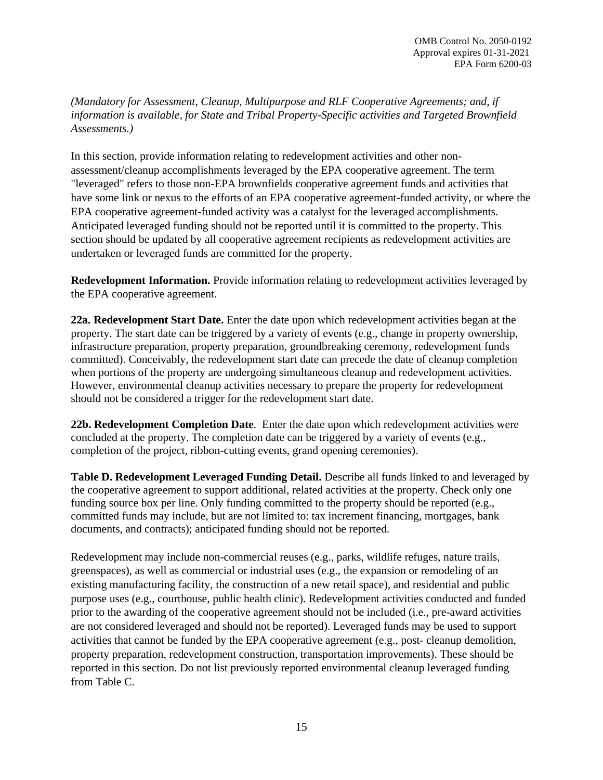*(Mandatory for Assessment, Cleanup, Multipurpose and RLF Cooperative Agreements; and, if information is available, for State and Tribal Property-Specific activities and Targeted Brownfield Assessments.)*

In this section, provide information relating to redevelopment activities and other nonassessment/cleanup accomplishments leveraged by the EPA cooperative agreement. The term "leveraged" refers to those non-EPA brownfields cooperative agreement funds and activities that have some link or nexus to the efforts of an EPA cooperative agreement-funded activity, or where the EPA cooperative agreement-funded activity was a catalyst for the leveraged accomplishments. Anticipated leveraged funding should not be reported until it is committed to the property. This section should be updated by all cooperative agreement recipients as redevelopment activities are undertaken or leveraged funds are committed for the property.

**Redevelopment Information.** Provide information relating to redevelopment activities leveraged by the EPA cooperative agreement.

**22a. Redevelopment Start Date.** Enter the date upon which redevelopment activities began at the property. The start date can be triggered by a variety of events (e.g., change in property ownership, infrastructure preparation, property preparation, groundbreaking ceremony, redevelopment funds committed). Conceivably, the redevelopment start date can precede the date of cleanup completion when portions of the property are undergoing simultaneous cleanup and redevelopment activities. However, environmental cleanup activities necessary to prepare the property for redevelopment should not be considered a trigger for the redevelopment start date.

**22b. Redevelopment Completion Date**. Enter the date upon which redevelopment activities were concluded at the property. The completion date can be triggered by a variety of events (e.g., completion of the project, ribbon-cutting events, grand opening ceremonies).

**Table D. Redevelopment Leveraged Funding Detail.** Describe all funds linked to and leveraged by the cooperative agreement to support additional, related activities at the property. Check only one funding source box per line. Only funding committed to the property should be reported (e.g., committed funds may include, but are not limited to: tax increment financing, mortgages, bank documents, and contracts); anticipated funding should not be reported.

Redevelopment may include non-commercial reuses (e.g., parks, wildlife refuges, nature trails, greenspaces), as well as commercial or industrial uses (e.g., the expansion or remodeling of an existing manufacturing facility, the construction of a new retail space), and residential and public purpose uses (e.g., courthouse, public health clinic). Redevelopment activities conducted and funded prior to the awarding of the cooperative agreement should not be included (i.e., pre-award activities are not considered leveraged and should not be reported). Leveraged funds may be used to support activities that cannot be funded by the EPA cooperative agreement (e.g., post- cleanup demolition, property preparation, redevelopment construction, transportation improvements). These should be reported in this section. Do not list previously reported environmental cleanup leveraged funding from Table C.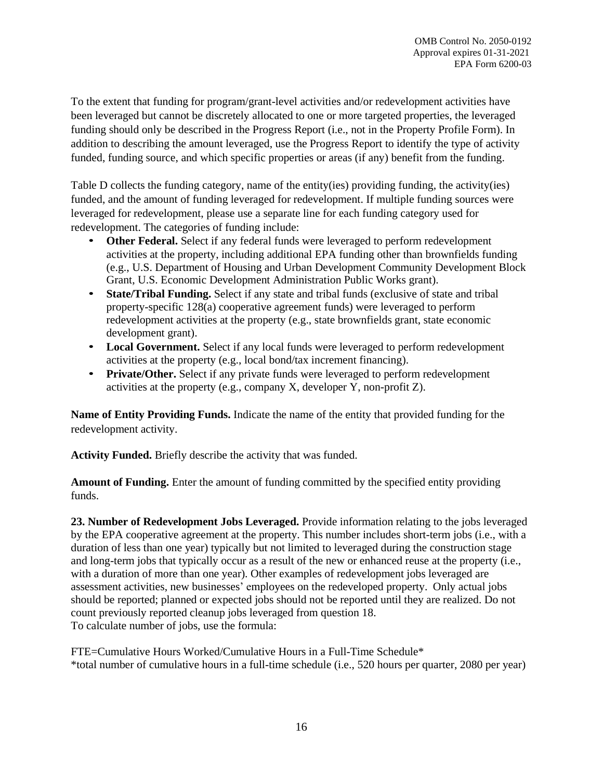To the extent that funding for program/grant-level activities and/or redevelopment activities have been leveraged but cannot be discretely allocated to one or more targeted properties, the leveraged funding should only be described in the Progress Report (i.e., not in the Property Profile Form). In addition to describing the amount leveraged, use the Progress Report to identify the type of activity funded, funding source, and which specific properties or areas (if any) benefit from the funding.

Table D collects the funding category, name of the entity(ies) providing funding, the activity(ies) funded, and the amount of funding leveraged for redevelopment. If multiple funding sources were leveraged for redevelopment, please use a separate line for each funding category used for redevelopment. The categories of funding include:

- **Other Federal.** Select if any federal funds were leveraged to perform redevelopment activities at the property, including additional EPA funding other than brownfields funding (e.g., U.S. Department of Housing and Urban Development Community Development Block Grant, U.S. Economic Development Administration Public Works grant).
- **State/Tribal Funding.** Select if any state and tribal funds (exclusive of state and tribal property-specific 128(a) cooperative agreement funds) were leveraged to perform redevelopment activities at the property (e.g., state brownfields grant, state economic development grant).
- **Local Government.** Select if any local funds were leveraged to perform redevelopment activities at the property (e.g., local bond/tax increment financing).
- **Private/Other.** Select if any private funds were leveraged to perform redevelopment activities at the property (e.g., company X, developer Y, non-profit Z).

**Name of Entity Providing Funds.** Indicate the name of the entity that provided funding for the redevelopment activity.

**Activity Funded.** Briefly describe the activity that was funded.

**Amount of Funding.** Enter the amount of funding committed by the specified entity providing funds.

**23. Number of Redevelopment Jobs Leveraged.** Provide information relating to the jobs leveraged by the EPA cooperative agreement at the property. This number includes short-term jobs (i.e., with a duration of less than one year) typically but not limited to leveraged during the construction stage and long-term jobs that typically occur as a result of the new or enhanced reuse at the property (i.e., with a duration of more than one year). Other examples of redevelopment jobs leveraged are assessment activities, new businesses' employees on the redeveloped property. Only actual jobs should be reported; planned or expected jobs should not be reported until they are realized. Do not count previously reported cleanup jobs leveraged from question 18. To calculate number of jobs, use the formula:

FTE=Cumulative Hours Worked/Cumulative Hours in a Full-Time Schedule\* \*total number of cumulative hours in a full-time schedule (i.e., 520 hours per quarter, 2080 per year)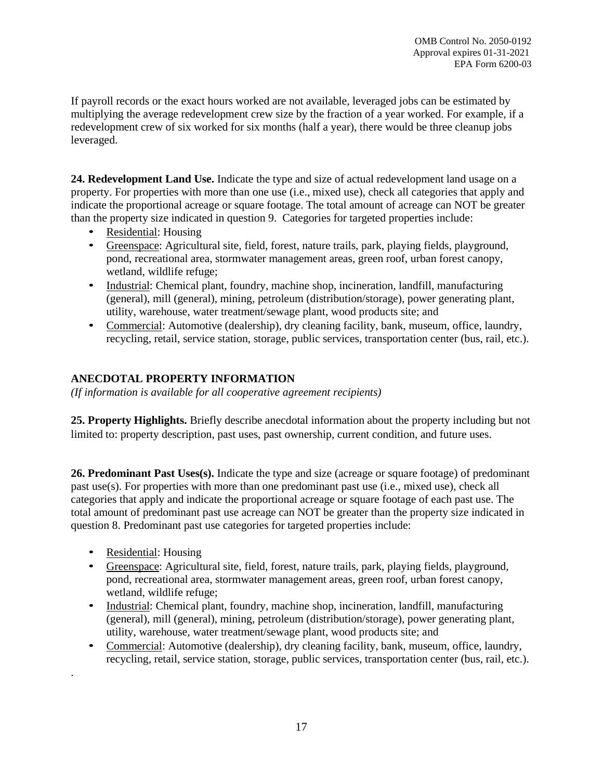If payroll records or the exact hours worked are not available, leveraged jobs can be estimated by multiplying the average redevelopment crew size by the fraction of a year worked. For example, if a redevelopment crew of six worked for six months (half a year), there would be three cleanup jobs leveraged.

**24. Redevelopment Land Use.** Indicate the type and size of actual redevelopment land usage on a property. For properties with more than one use (i.e., mixed use), check all categories that apply and indicate the proportional acreage or square footage. The total amount of acreage can NOT be greater than the property size indicated in question 9. Categories for targeted properties include:

- Residential: Housing
- Greenspace: Agricultural site, field, forest, nature trails, park, playing fields, playground, pond, recreational area, stormwater management areas, green roof, urban forest canopy, wetland, wildlife refuge;
- Industrial: Chemical plant, foundry, machine shop, incineration, landfill, manufacturing (general), mill (general), mining, petroleum (distribution/storage), power generating plant, utility, warehouse, water treatment/sewage plant, wood products site; and
- Commercial: Automotive (dealership), dry cleaning facility, bank, museum, office, laundry, recycling, retail, service station, storage, public services, transportation center (bus, rail, etc.).

### **ANECDOTAL PROPERTY INFORMATION**

*(If information is available for all cooperative agreement recipients)*

**25. Property Highlights.** Briefly describe anecdotal information about the property including but not limited to: property description, past uses, past ownership, current condition, and future uses.

**26. Predominant Past Uses(s).** Indicate the type and size (acreage or square footage) of predominant past use(s). For properties with more than one predominant past use (i.e., mixed use), check all categories that apply and indicate the proportional acreage or square footage of each past use. The total amount of predominant past use acreage can NOT be greater than the property size indicated in question 8. Predominant past use categories for targeted properties include:

• Residential: Housing

.

- Greenspace: Agricultural site, field, forest, nature trails, park, playing fields, playground, pond, recreational area, stormwater management areas, green roof, urban forest canopy, wetland, wildlife refuge;
- Industrial: Chemical plant, foundry, machine shop, incineration, landfill, manufacturing (general), mill (general), mining, petroleum (distribution/storage), power generating plant, utility, warehouse, water treatment/sewage plant, wood products site; and
- Commercial: Automotive (dealership), dry cleaning facility, bank, museum, office, laundry, recycling, retail, service station, storage, public services, transportation center (bus, rail, etc.).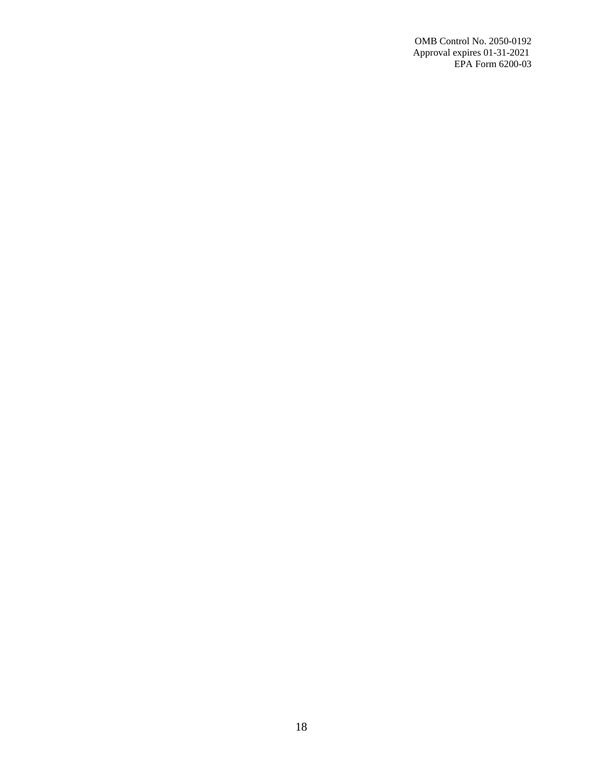OMB Control No. 2050-0192 Approval expires 01-31-2021 EPA Form 6200-03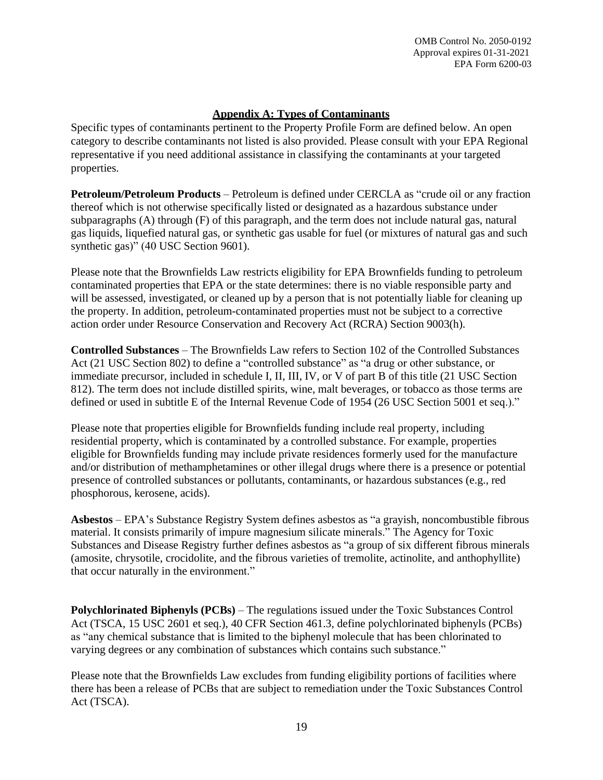# **Appendix A: Types of Contaminants**

Specific types of contaminants pertinent to the Property Profile Form are defined below. An open category to describe contaminants not listed is also provided. Please consult with your EPA Regional representative if you need additional assistance in classifying the contaminants at your targeted properties.

**Petroleum/Petroleum Products** – Petroleum is defined under CERCLA as "crude oil or any fraction thereof which is not otherwise specifically listed or designated as a hazardous substance under subparagraphs (A) through (F) of this paragraph, and the term does not include natural gas, natural gas liquids, liquefied natural gas, or synthetic gas usable for fuel (or mixtures of natural gas and such synthetic gas)" (40 USC Section 9601).

Please note that the Brownfields Law restricts eligibility for EPA Brownfields funding to petroleum contaminated properties that EPA or the state determines: there is no viable responsible party and will be assessed, investigated, or cleaned up by a person that is not potentially liable for cleaning up the property. In addition, petroleum-contaminated properties must not be subject to a corrective action order under Resource Conservation and Recovery Act (RCRA) Section 9003(h).

**Controlled Substances** – The Brownfields Law refers to Section 102 of the Controlled Substances Act (21 USC Section 802) to define a "controlled substance" as "a drug or other substance, or immediate precursor, included in schedule I, II, III, IV, or V of part B of this title (21 USC Section 812). The term does not include distilled spirits, wine, malt beverages, or tobacco as those terms are defined or used in subtitle E of the Internal Revenue Code of 1954 (26 USC Section 5001 et seq.)."

Please note that properties eligible for Brownfields funding include real property, including residential property, which is contaminated by a controlled substance. For example, properties eligible for Brownfields funding may include private residences formerly used for the manufacture and/or distribution of methamphetamines or other illegal drugs where there is a presence or potential presence of controlled substances or pollutants, contaminants, or hazardous substances (e.g., red phosphorous, kerosene, acids).

**Asbestos** – EPA's Substance Registry System defines asbestos as "a grayish, noncombustible fibrous material. It consists primarily of impure magnesium silicate minerals." The Agency for Toxic Substances and Disease Registry further defines asbestos as "a group of six different fibrous minerals (amosite, chrysotile, crocidolite, and the fibrous varieties of tremolite, actinolite, and anthophyllite) that occur naturally in the environment."

**Polychlorinated Biphenyls (PCBs)** – The regulations issued under the Toxic Substances Control Act (TSCA, 15 USC 2601 et seq.), 40 CFR Section 461.3, define polychlorinated biphenyls (PCBs) as "any chemical substance that is limited to the biphenyl molecule that has been chlorinated to varying degrees or any combination of substances which contains such substance."

Please note that the Brownfields Law excludes from funding eligibility portions of facilities where there has been a release of PCBs that are subject to remediation under the Toxic Substances Control Act (TSCA).